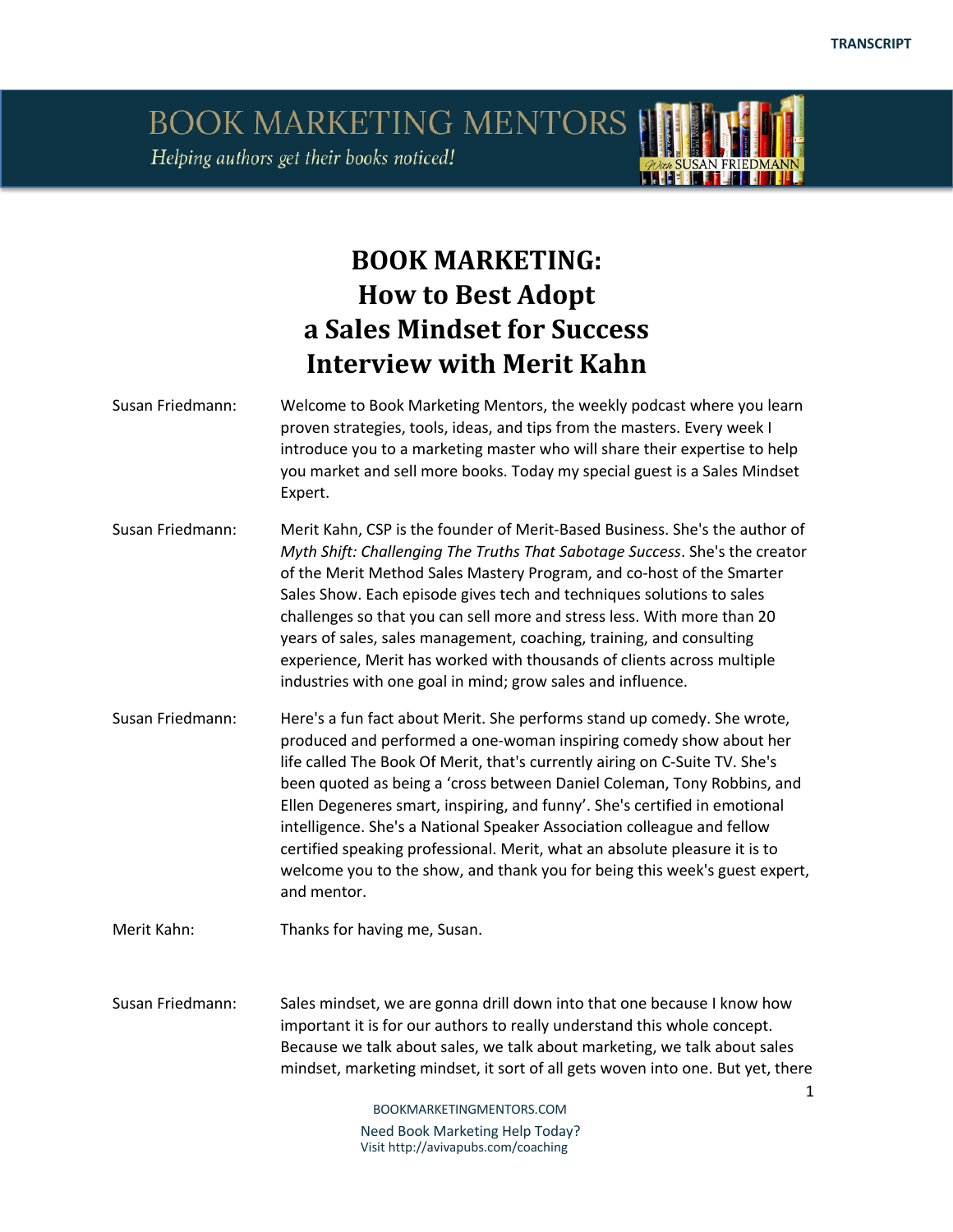**THEFT 17 17 17** 

BOOK MARKETING MENTORS Helping authors get their books noticed!

## **BOOK MARKETING: How to Best Adopt a Sales Mindset for Success Interview with Merit Kahn**

| Susan Friedmann: | Welcome to Book Marketing Mentors, the weekly podcast where you learn<br>proven strategies, tools, ideas, and tips from the masters. Every week I<br>introduce you to a marketing master who will share their expertise to help<br>you market and sell more books. Today my special guest is a Sales Mindset<br>Expert.                                                                                                                                                                                                                                                                                                                     |
|------------------|---------------------------------------------------------------------------------------------------------------------------------------------------------------------------------------------------------------------------------------------------------------------------------------------------------------------------------------------------------------------------------------------------------------------------------------------------------------------------------------------------------------------------------------------------------------------------------------------------------------------------------------------|
| Susan Friedmann: | Merit Kahn, CSP is the founder of Merit-Based Business. She's the author of<br>Myth Shift: Challenging The Truths That Sabotage Success. She's the creator<br>of the Merit Method Sales Mastery Program, and co-host of the Smarter<br>Sales Show. Each episode gives tech and techniques solutions to sales<br>challenges so that you can sell more and stress less. With more than 20<br>years of sales, sales management, coaching, training, and consulting<br>experience, Merit has worked with thousands of clients across multiple<br>industries with one goal in mind; grow sales and influence.                                    |
| Susan Friedmann: | Here's a fun fact about Merit. She performs stand up comedy. She wrote,<br>produced and performed a one-woman inspiring comedy show about her<br>life called The Book Of Merit, that's currently airing on C-Suite TV. She's<br>been quoted as being a 'cross between Daniel Coleman, Tony Robbins, and<br>Ellen Degeneres smart, inspiring, and funny'. She's certified in emotional<br>intelligence. She's a National Speaker Association colleague and fellow<br>certified speaking professional. Merit, what an absolute pleasure it is to<br>welcome you to the show, and thank you for being this week's guest expert,<br>and mentor. |
| Merit Kahn:      | Thanks for having me, Susan.                                                                                                                                                                                                                                                                                                                                                                                                                                                                                                                                                                                                                |
| Susan Friedmann: | Sales mindset, we are gonna drill down into that one because I know how<br>important it is for our authors to really understand this whole concept.<br>Because we talk about sales, we talk about marketing, we talk about sales<br>mindset, marketing mindset, it sort of all gets woven into one. But yet, there<br>$\mathbf{1}$                                                                                                                                                                                                                                                                                                          |
|                  | BOOKMARKETINGMENTORS.COM                                                                                                                                                                                                                                                                                                                                                                                                                                                                                                                                                                                                                    |
|                  | Need Book Marketing Help Today?                                                                                                                                                                                                                                                                                                                                                                                                                                                                                                                                                                                                             |

Visit http://avivapubs.com/coaching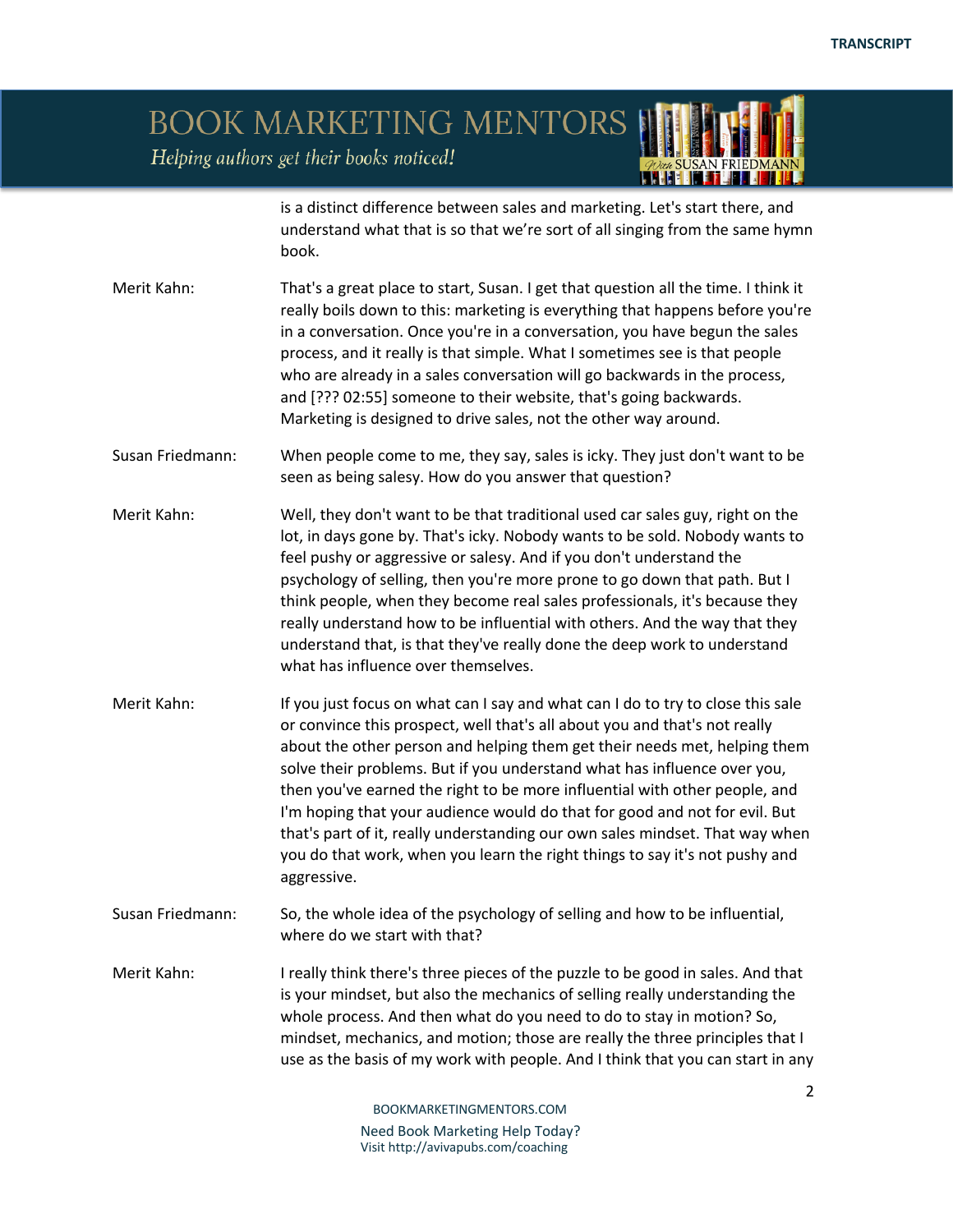### BOOK MARKETING MENTORS Helping authors get their books noticed!

is a distinct difference between sales and marketing. Let's start there, and understand what that is so that we're sort of all singing from the same hymn book.

- Merit Kahn: That's a great place to start, Susan. I get that question all the time. I think it really boils down to this: marketing is everything that happens before you're in a conversation. Once you're in a conversation, you have begun the sales process, and it really is that simple. What I sometimes see is that people who are already in a sales conversation will go backwards in the process, and [??? 02:55] someone to their website, that's going backwards. Marketing is designed to drive sales, not the other way around.
- Susan Friedmann: When people come to me, they say, sales is icky. They just don't want to be seen as being salesy. How do you answer that question?
- Merit Kahn: Well, they don't want to be that traditional used car sales guy, right on the lot, in days gone by. That's icky. Nobody wants to be sold. Nobody wants to feel pushy or aggressive or salesy. And if you don't understand the psychology of selling, then you're more prone to go down that path. But I think people, when they become real sales professionals, it's because they really understand how to be influential with others. And the way that they understand that, is that they've really done the deep work to understand what has influence over themselves.
- Merit Kahn: If you just focus on what can I say and what can I do to try to close this sale or convince this prospect, well that's all about you and that's not really about the other person and helping them get their needs met, helping them solve their problems. But if you understand what has influence over you, then you've earned the right to be more influential with other people, and I'm hoping that your audience would do that for good and not for evil. But that's part of it, really understanding our own sales mindset. That way when you do that work, when you learn the right things to say it's not pushy and aggressive.
- Susan Friedmann: So, the whole idea of the psychology of selling and how to be influential, where do we start with that?
- Merit Kahn: I really think there's three pieces of the puzzle to be good in sales. And that is your mindset, but also the mechanics of selling really understanding the whole process. And then what do you need to do to stay in motion? So, mindset, mechanics, and motion; those are really the three principles that I use as the basis of my work with people. And I think that you can start in any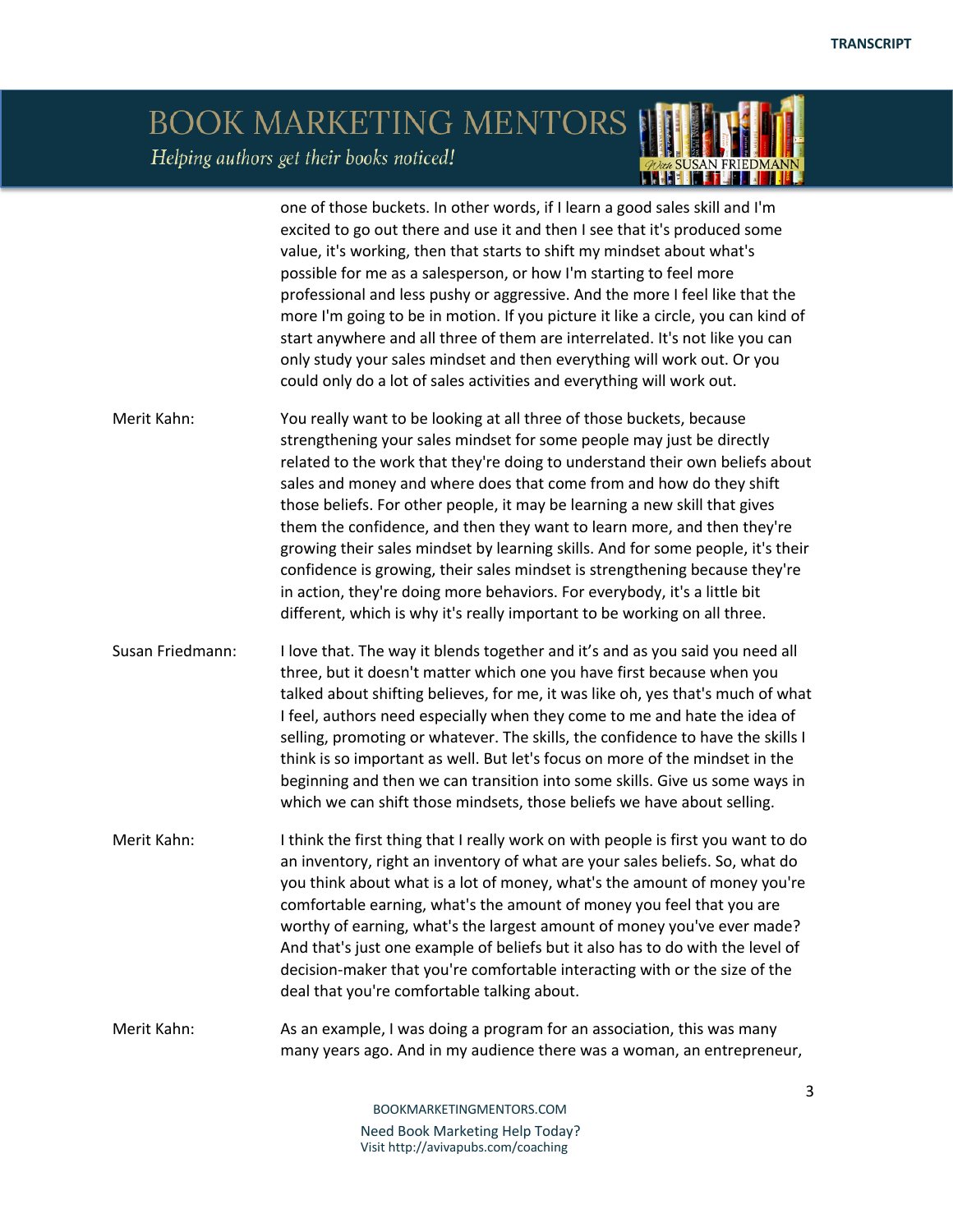### BOOK MARKETING MENTORS Helping authors get their books noticed! *ODER SUSAN FRIEDMAN*

|                  | one of those buckets. In other words, if I learn a good sales skill and I'm<br>excited to go out there and use it and then I see that it's produced some<br>value, it's working, then that starts to shift my mindset about what's<br>possible for me as a salesperson, or how I'm starting to feel more<br>professional and less pushy or aggressive. And the more I feel like that the<br>more I'm going to be in motion. If you picture it like a circle, you can kind of<br>start anywhere and all three of them are interrelated. It's not like you can<br>only study your sales mindset and then everything will work out. Or you<br>could only do a lot of sales activities and everything will work out.                                                                          |
|------------------|-------------------------------------------------------------------------------------------------------------------------------------------------------------------------------------------------------------------------------------------------------------------------------------------------------------------------------------------------------------------------------------------------------------------------------------------------------------------------------------------------------------------------------------------------------------------------------------------------------------------------------------------------------------------------------------------------------------------------------------------------------------------------------------------|
| Merit Kahn:      | You really want to be looking at all three of those buckets, because<br>strengthening your sales mindset for some people may just be directly<br>related to the work that they're doing to understand their own beliefs about<br>sales and money and where does that come from and how do they shift<br>those beliefs. For other people, it may be learning a new skill that gives<br>them the confidence, and then they want to learn more, and then they're<br>growing their sales mindset by learning skills. And for some people, it's their<br>confidence is growing, their sales mindset is strengthening because they're<br>in action, they're doing more behaviors. For everybody, it's a little bit<br>different, which is why it's really important to be working on all three. |
| Susan Friedmann: | I love that. The way it blends together and it's and as you said you need all<br>three, but it doesn't matter which one you have first because when you<br>talked about shifting believes, for me, it was like oh, yes that's much of what<br>I feel, authors need especially when they come to me and hate the idea of<br>selling, promoting or whatever. The skills, the confidence to have the skills I<br>think is so important as well. But let's focus on more of the mindset in the<br>beginning and then we can transition into some skills. Give us some ways in<br>which we can shift those mindsets, those beliefs we have about selling.                                                                                                                                      |
| Merit Kahn:      | I think the first thing that I really work on with people is first you want to do<br>an inventory, right an inventory of what are your sales beliefs. So, what do<br>you think about what is a lot of money, what's the amount of money you're<br>comfortable earning, what's the amount of money you feel that you are<br>worthy of earning, what's the largest amount of money you've ever made?<br>And that's just one example of beliefs but it also has to do with the level of<br>decision-maker that you're comfortable interacting with or the size of the<br>deal that you're comfortable talking about.                                                                                                                                                                         |
| Merit Kahn:      | As an example, I was doing a program for an association, this was many<br>many years ago. And in my audience there was a woman, an entrepreneur,                                                                                                                                                                                                                                                                                                                                                                                                                                                                                                                                                                                                                                          |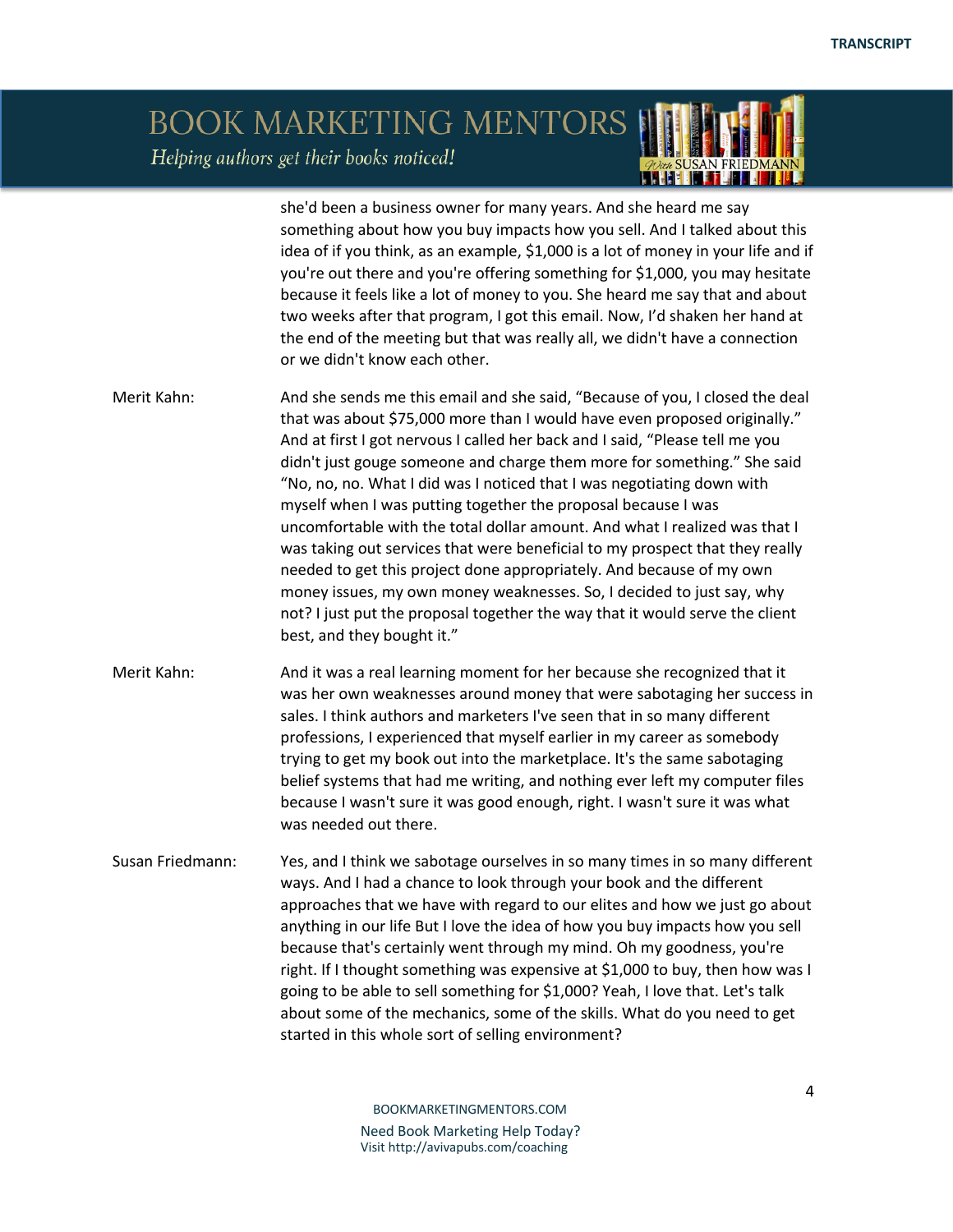#### BOOK MARKETING MENTORS Helping authors get their books noticed! **LEADER TO BE A**

she'd been a business owner for many years. And she heard me say something about how you buy impacts how you sell. And I talked about this idea of if you think, as an example, \$1,000 is a lot of money in your life and if you're out there and you're offering something for \$1,000, you may hesitate because it feels like a lot of money to you. She heard me say that and about two weeks after that program, I got this email. Now, I'd shaken her hand at the end of the meeting but that was really all, we didn't have a connection or we didn't know each other. Merit Kahn: And she sends me this email and she said, "Because of you, I closed the deal that was about \$75,000 more than I would have even proposed originally." And at first I got nervous I called her back and I said, "Please tell me you didn't just gouge someone and charge them more for something." She said "No, no, no. What I did was I noticed that I was negotiating down with myself when I was putting together the proposal because I was uncomfortable with the total dollar amount. And what I realized was that I was taking out services that were beneficial to my prospect that they really needed to get this project done appropriately. And because of my own money issues, my own money weaknesses. So, I decided to just say, why not? I just put the proposal together the way that it would serve the client best, and they bought it." Merit Kahn: And it was a real learning moment for her because she recognized that it was her own weaknesses around money that were sabotaging her success in sales. I think authors and marketers I've seen that in so many different professions, I experienced that myself earlier in my career as somebody trying to get my book out into the marketplace. It's the same sabotaging belief systems that had me writing, and nothing ever left my computer files because I wasn't sure it was good enough, right. I wasn't sure it was what was needed out there. Susan Friedmann: Yes, and I think we sabotage ourselves in so many times in so many different ways. And I had a chance to look through your book and the different approaches that we have with regard to our elites and how we just go about anything in our life But I love the idea of how you buy impacts how you sell because that's certainly went through my mind. Oh my goodness, you're right. If I thought something was expensive at \$1,000 to buy, then how was I going to be able to sell something for \$1,000? Yeah, I love that. Let's talk about some of the mechanics, some of the skills. What do you need to get started in this whole sort of selling environment?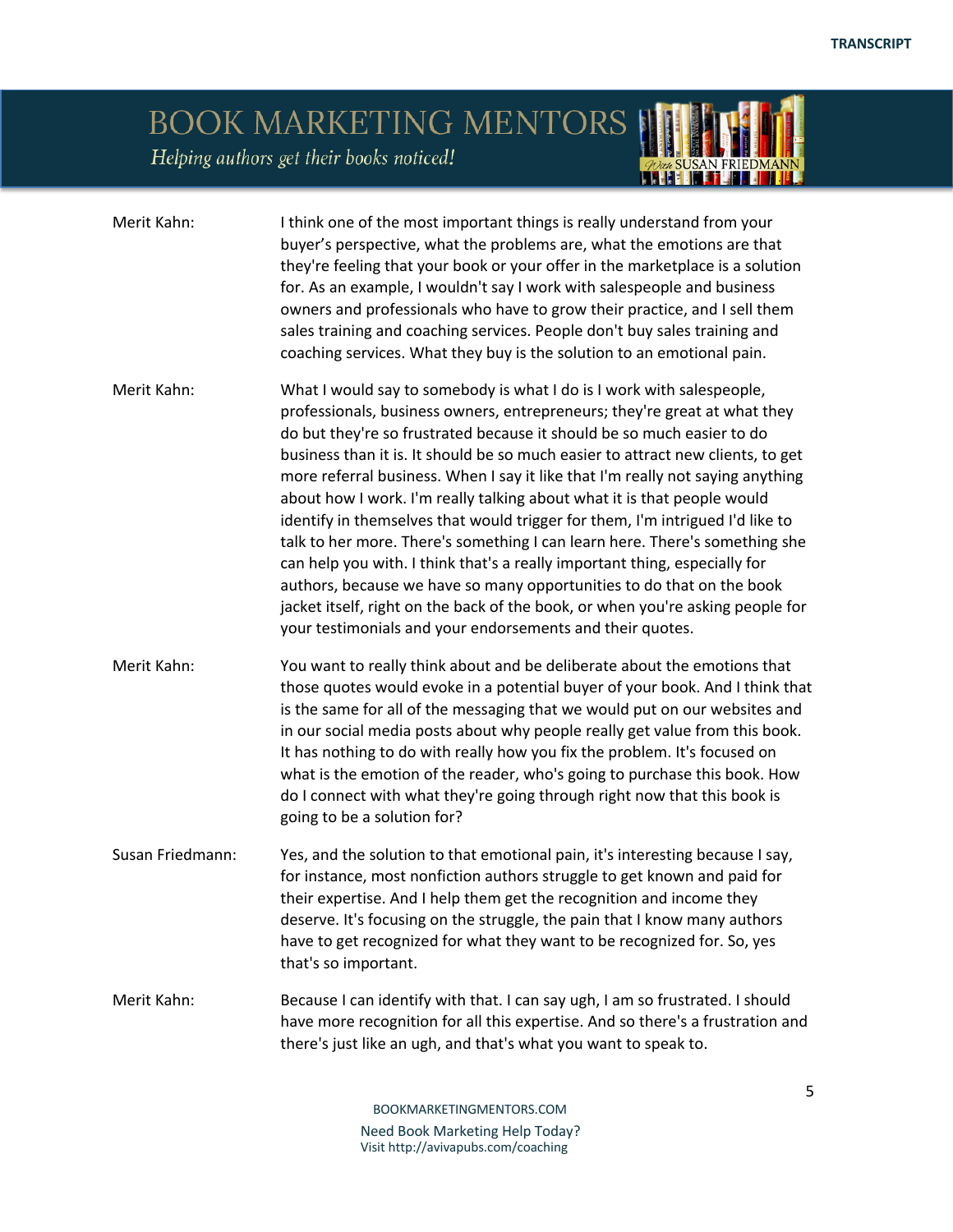*OVER SUSAN FRIEDMAN* 

# BOOK MARKETING MENTORS

Helping authors get their books noticed!

| Merit Kahn:      | I think one of the most important things is really understand from your<br>buyer's perspective, what the problems are, what the emotions are that<br>they're feeling that your book or your offer in the marketplace is a solution<br>for. As an example, I wouldn't say I work with salespeople and business<br>owners and professionals who have to grow their practice, and I sell them<br>sales training and coaching services. People don't buy sales training and<br>coaching services. What they buy is the solution to an emotional pain.                                                                                                                                                                                                                                                                                                                                                                                                  |
|------------------|----------------------------------------------------------------------------------------------------------------------------------------------------------------------------------------------------------------------------------------------------------------------------------------------------------------------------------------------------------------------------------------------------------------------------------------------------------------------------------------------------------------------------------------------------------------------------------------------------------------------------------------------------------------------------------------------------------------------------------------------------------------------------------------------------------------------------------------------------------------------------------------------------------------------------------------------------|
| Merit Kahn:      | What I would say to somebody is what I do is I work with salespeople,<br>professionals, business owners, entrepreneurs; they're great at what they<br>do but they're so frustrated because it should be so much easier to do<br>business than it is. It should be so much easier to attract new clients, to get<br>more referral business. When I say it like that I'm really not saying anything<br>about how I work. I'm really talking about what it is that people would<br>identify in themselves that would trigger for them, I'm intrigued I'd like to<br>talk to her more. There's something I can learn here. There's something she<br>can help you with. I think that's a really important thing, especially for<br>authors, because we have so many opportunities to do that on the book<br>jacket itself, right on the back of the book, or when you're asking people for<br>your testimonials and your endorsements and their quotes. |
| Merit Kahn:      | You want to really think about and be deliberate about the emotions that<br>those quotes would evoke in a potential buyer of your book. And I think that<br>is the same for all of the messaging that we would put on our websites and<br>in our social media posts about why people really get value from this book.<br>It has nothing to do with really how you fix the problem. It's focused on<br>what is the emotion of the reader, who's going to purchase this book. How<br>do I connect with what they're going through right now that this book is<br>going to be a solution for?                                                                                                                                                                                                                                                                                                                                                         |
| Susan Friedmann: | Yes, and the solution to that emotional pain, it's interesting because I say,<br>for instance, most nonfiction authors struggle to get known and paid for<br>their expertise. And I help them get the recognition and income they<br>deserve. It's focusing on the struggle, the pain that I know many authors<br>have to get recognized for what they want to be recognized for. So, yes<br>that's so important.                                                                                                                                                                                                                                                                                                                                                                                                                                                                                                                                  |
| Merit Kahn:      | Because I can identify with that. I can say ugh, I am so frustrated. I should<br>have more recognition for all this expertise. And so there's a frustration and<br>there's just like an ugh, and that's what you want to speak to.                                                                                                                                                                                                                                                                                                                                                                                                                                                                                                                                                                                                                                                                                                                 |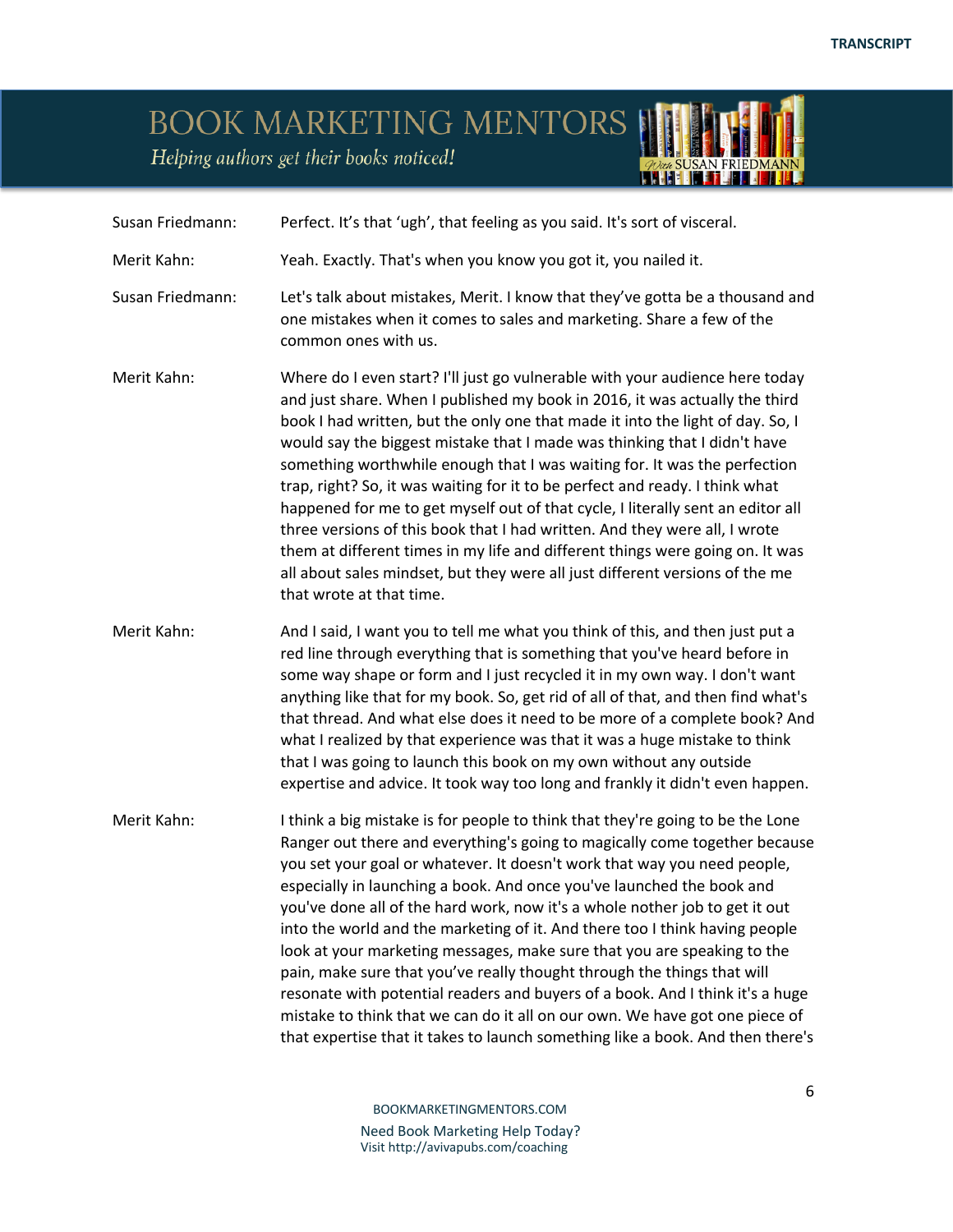*OVER SUSAN FRIEDMAN* 

# BOOK MARKETING MENTORS

Helping authors get their books noticed!

| Susan Friedmann: | Perfect. It's that 'ugh', that feeling as you said. It's sort of visceral.                                                                                                                                                                                                                                                                                                                                                                                                                                                                                                                                                                                                                                                                                                                                                                                                              |
|------------------|-----------------------------------------------------------------------------------------------------------------------------------------------------------------------------------------------------------------------------------------------------------------------------------------------------------------------------------------------------------------------------------------------------------------------------------------------------------------------------------------------------------------------------------------------------------------------------------------------------------------------------------------------------------------------------------------------------------------------------------------------------------------------------------------------------------------------------------------------------------------------------------------|
| Merit Kahn:      | Yeah. Exactly. That's when you know you got it, you nailed it.                                                                                                                                                                                                                                                                                                                                                                                                                                                                                                                                                                                                                                                                                                                                                                                                                          |
| Susan Friedmann: | Let's talk about mistakes, Merit. I know that they've gotta be a thousand and<br>one mistakes when it comes to sales and marketing. Share a few of the<br>common ones with us.                                                                                                                                                                                                                                                                                                                                                                                                                                                                                                                                                                                                                                                                                                          |
| Merit Kahn:      | Where do I even start? I'll just go vulnerable with your audience here today<br>and just share. When I published my book in 2016, it was actually the third<br>book I had written, but the only one that made it into the light of day. So, I<br>would say the biggest mistake that I made was thinking that I didn't have<br>something worthwhile enough that I was waiting for. It was the perfection<br>trap, right? So, it was waiting for it to be perfect and ready. I think what<br>happened for me to get myself out of that cycle, I literally sent an editor all<br>three versions of this book that I had written. And they were all, I wrote<br>them at different times in my life and different things were going on. It was<br>all about sales mindset, but they were all just different versions of the me<br>that wrote at that time.                                   |
| Merit Kahn:      | And I said, I want you to tell me what you think of this, and then just put a<br>red line through everything that is something that you've heard before in<br>some way shape or form and I just recycled it in my own way. I don't want<br>anything like that for my book. So, get rid of all of that, and then find what's<br>that thread. And what else does it need to be more of a complete book? And<br>what I realized by that experience was that it was a huge mistake to think<br>that I was going to launch this book on my own without any outside<br>expertise and advice. It took way too long and frankly it didn't even happen.                                                                                                                                                                                                                                          |
| Merit Kahn:      | I think a big mistake is for people to think that they're going to be the Lone<br>Ranger out there and everything's going to magically come together because<br>you set your goal or whatever. It doesn't work that way you need people,<br>especially in launching a book. And once you've launched the book and<br>you've done all of the hard work, now it's a whole nother job to get it out<br>into the world and the marketing of it. And there too I think having people<br>look at your marketing messages, make sure that you are speaking to the<br>pain, make sure that you've really thought through the things that will<br>resonate with potential readers and buyers of a book. And I think it's a huge<br>mistake to think that we can do it all on our own. We have got one piece of<br>that expertise that it takes to launch something like a book. And then there's |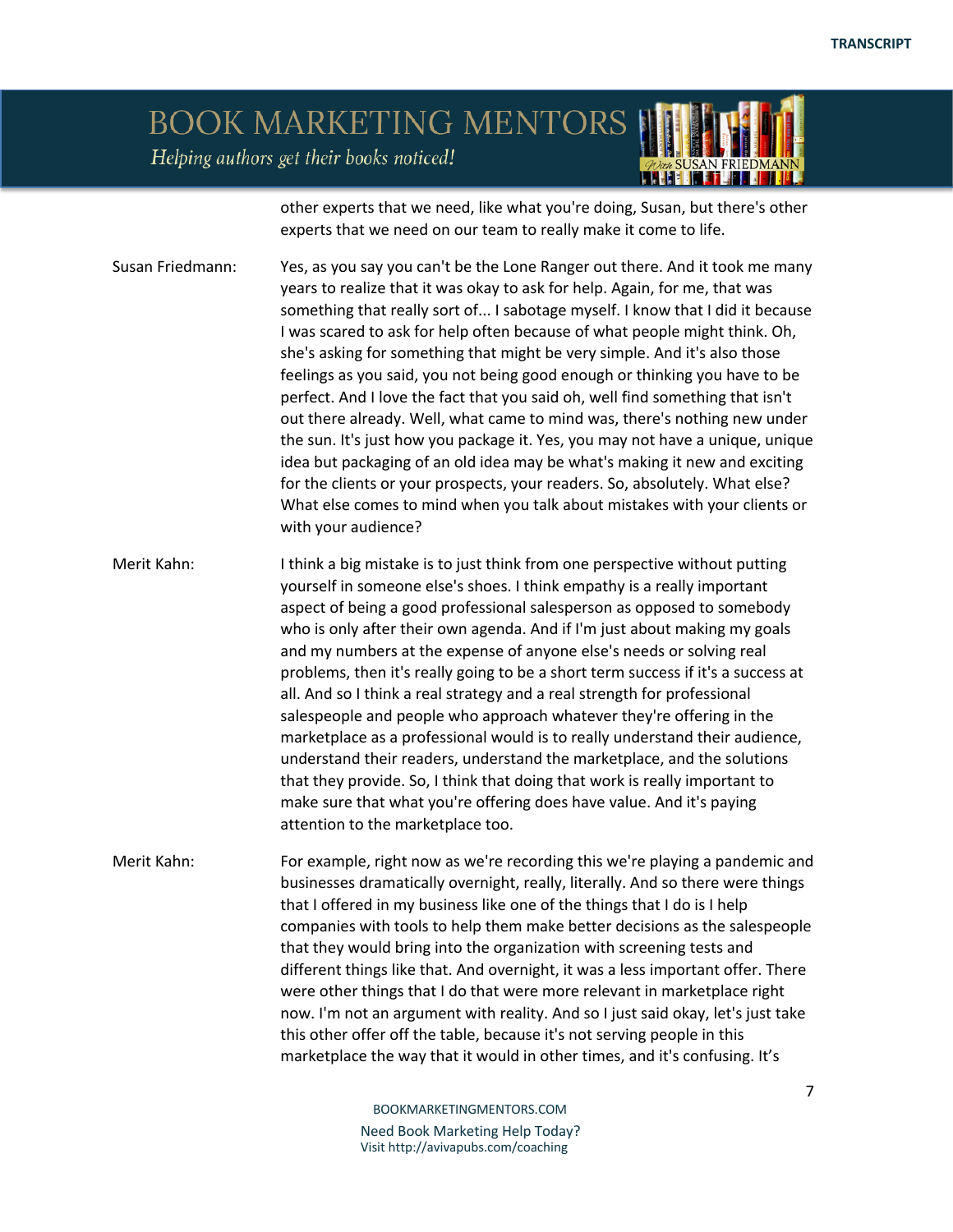## BOOK MARKETING MENTORS Helping authors get their books noticed!

other experts that we need, like what you're doing, Susan, but there's other experts that we need on our team to really make it come to life.

Susan Friedmann: Yes, as you say you can't be the Lone Ranger out there. And it took me many years to realize that it was okay to ask for help. Again, for me, that was something that really sort of... I sabotage myself. I know that I did it because I was scared to ask for help often because of what people might think. Oh, she's asking for something that might be very simple. And it's also those feelings as you said, you not being good enough or thinking you have to be perfect. And I love the fact that you said oh, well find something that isn't out there already. Well, what came to mind was, there's nothing new under the sun. It's just how you package it. Yes, you may not have a unique, unique idea but packaging of an old idea may be what's making it new and exciting for the clients or your prospects, your readers. So, absolutely. What else? What else comes to mind when you talk about mistakes with your clients or with your audience?

Merit Kahn: I think a big mistake is to just think from one perspective without putting yourself in someone else's shoes. I think empathy is a really important aspect of being a good professional salesperson as opposed to somebody who is only after their own agenda. And if I'm just about making my goals and my numbers at the expense of anyone else's needs or solving real problems, then it's really going to be a short term success if it's a success at all. And so I think a real strategy and a real strength for professional salespeople and people who approach whatever they're offering in the marketplace as a professional would is to really understand their audience, understand their readers, understand the marketplace, and the solutions that they provide. So, I think that doing that work is really important to make sure that what you're offering does have value. And it's paying attention to the marketplace too.

Merit Kahn: For example, right now as we're recording this we're playing a pandemic and businesses dramatically overnight, really, literally. And so there were things that I offered in my business like one of the things that I do is I help companies with tools to help them make better decisions as the salespeople that they would bring into the organization with screening tests and different things like that. And overnight, it was a less important offer. There were other things that I do that were more relevant in marketplace right now. I'm not an argument with reality. And so I just said okay, let's just take this other offer off the table, because it's not serving people in this marketplace the way that it would in other times, and it's confusing. It's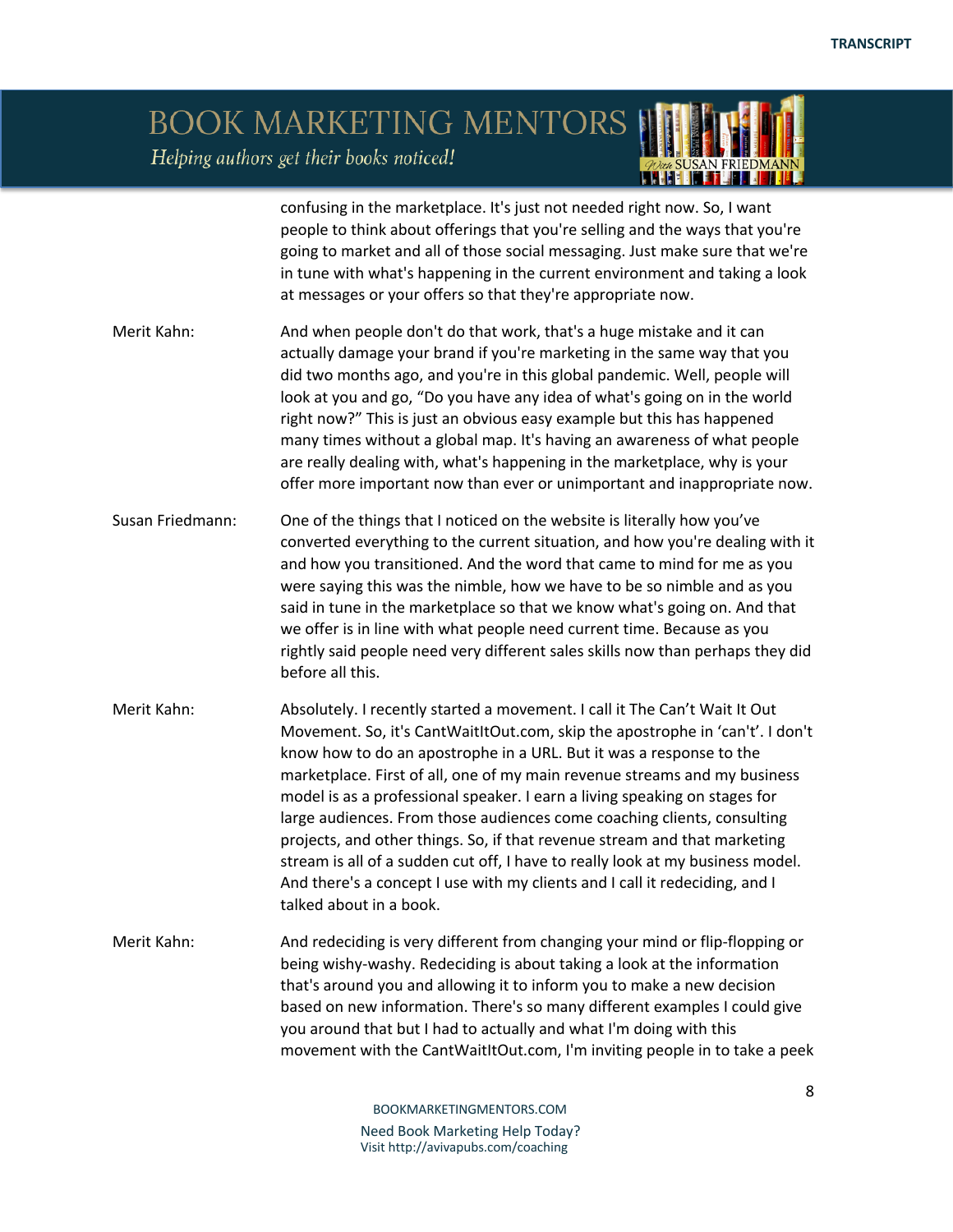#### BOOK MARKETING MENTORS Helping authors get their books noticed! **LANT KELL**

confusing in the marketplace. It's just not needed right now. So, I want people to think about offerings that you're selling and the ways that you're going to market and all of those social messaging. Just make sure that we're in tune with what's happening in the current environment and taking a look at messages or your offers so that they're appropriate now. Merit Kahn: And when people don't do that work, that's a huge mistake and it can actually damage your brand if you're marketing in the same way that you did two months ago, and you're in this global pandemic. Well, people will look at you and go, "Do you have any idea of what's going on in the world right now?" This is just an obvious easy example but this has happened many times without a global map. It's having an awareness of what people are really dealing with, what's happening in the marketplace, why is your offer more important now than ever or unimportant and inappropriate now. Susan Friedmann: One of the things that I noticed on the website is literally how you've converted everything to the current situation, and how you're dealing with it and how you transitioned. And the word that came to mind for me as you were saying this was the nimble, how we have to be so nimble and as you said in tune in the marketplace so that we know what's going on. And that we offer is in line with what people need current time. Because as you rightly said people need very different sales skills now than perhaps they did before all this. Merit Kahn: Absolutely. I recently started a movement. I call it The Can't Wait It Out Movement. So, it's CantWaitItOut.com, skip the apostrophe in 'can't'. I don't know how to do an apostrophe in a URL. But it was a response to the marketplace. First of all, one of my main revenue streams and my business model is as a professional speaker. I earn a living speaking on stages for large audiences. From those audiences come coaching clients, consulting projects, and other things. So, if that revenue stream and that marketing stream is all of a sudden cut off, I have to really look at my business model. And there's a concept I use with my clients and I call it redeciding, and I talked about in a book. Merit Kahn: And redeciding is very different from changing your mind or flip-flopping or being wishy-washy. Redeciding is about taking a look at the information that's around you and allowing it to inform you to make a new decision based on new information. There's so many different examples I could give you around that but I had to actually and what I'm doing with this movement with the CantWaitItOut.com, I'm inviting people in to take a peek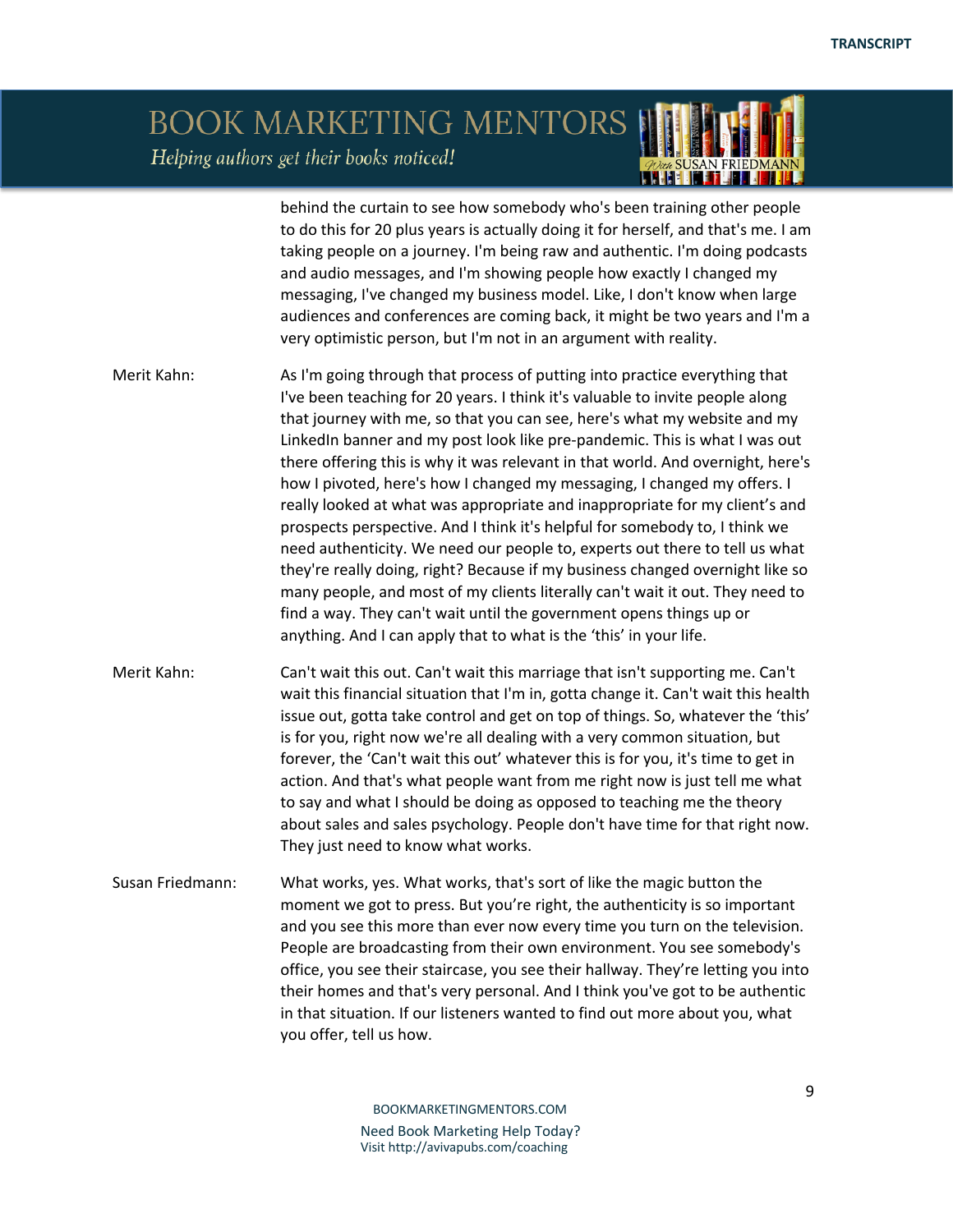## BOOK MARKETING MENTORS Helping authors get their books noticed!

behind the curtain to see how somebody who's been training other people to do this for 20 plus years is actually doing it for herself, and that's me. I am taking people on a journey. I'm being raw and authentic. I'm doing podcasts and audio messages, and I'm showing people how exactly I changed my messaging, I've changed my business model. Like, I don't know when large audiences and conferences are coming back, it might be two years and I'm a very optimistic person, but I'm not in an argument with reality.

HHH

Merit Kahn: As I'm going through that process of putting into practice everything that I've been teaching for 20 years. I think it's valuable to invite people along that journey with me, so that you can see, here's what my website and my LinkedIn banner and my post look like pre-pandemic. This is what I was out there offering this is why it was relevant in that world. And overnight, here's how I pivoted, here's how I changed my messaging, I changed my offers. I really looked at what was appropriate and inappropriate for my client's and prospects perspective. And I think it's helpful for somebody to, I think we need authenticity. We need our people to, experts out there to tell us what they're really doing, right? Because if my business changed overnight like so many people, and most of my clients literally can't wait it out. They need to find a way. They can't wait until the government opens things up or anything. And I can apply that to what is the 'this' in your life.

Merit Kahn: Can't wait this out. Can't wait this marriage that isn't supporting me. Can't wait this financial situation that I'm in, gotta change it. Can't wait this health issue out, gotta take control and get on top of things. So, whatever the 'this' is for you, right now we're all dealing with a very common situation, but forever, the 'Can't wait this out' whatever this is for you, it's time to get in action. And that's what people want from me right now is just tell me what to say and what I should be doing as opposed to teaching me the theory about sales and sales psychology. People don't have time for that right now. They just need to know what works.

Susan Friedmann: What works, yes. What works, that's sort of like the magic button the moment we got to press. But you're right, the authenticity is so important and you see this more than ever now every time you turn on the television. People are broadcasting from their own environment. You see somebody's office, you see their staircase, you see their hallway. They're letting you into their homes and that's very personal. And I think you've got to be authentic in that situation. If our listeners wanted to find out more about you, what you offer, tell us how.